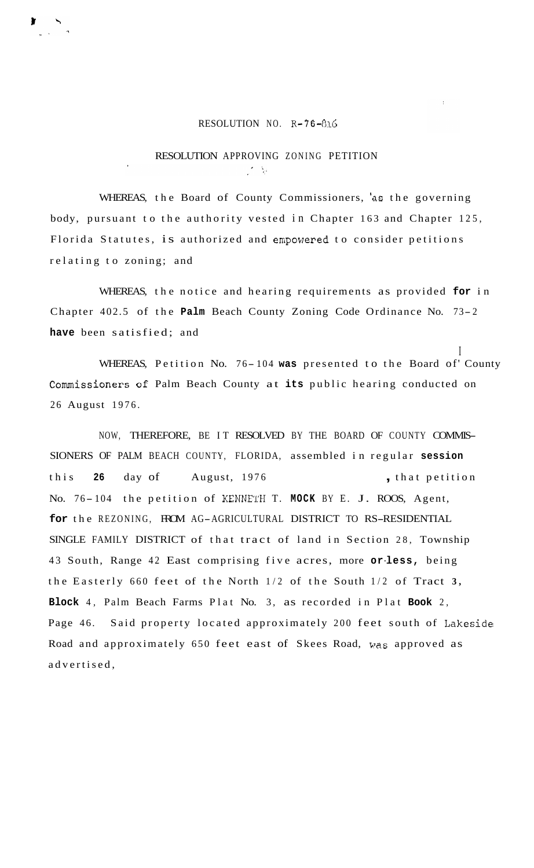## RESOLUTION NO. R-76-816

## RESOLUTION APPROVING ZONING PETITION  $\mathcal{F} \subset \mathbb{R}^2$

WHEREAS, the Board of County Commissioners, 'as the governing body, pursuant to the authority vested in Chapter 163 and Chapter 125, Florida Statutes, is authorized and enpowered to consider petitions relating to zoning; and

WHEREAS, the notice and hearing requirements as provided **for** in Chapter 402.5 of the **Palm** Beach County Zoning Code Ordinance No. 73- <sup>2</sup> **have** been satisfied; and

WHEREAS, Petition No. 76-104 was presented to the Board of County Commissioners **of;** Palm Beach County at **its** public hearing conducted on 26 August 1976.

I

NOW, THEREFORE, BE IT RESOLVED BY THE BOARD OF COUNTY COMMIS-SIONERS OF PALM BEACH COUNTY, FLORIDA, assembled in regular **session**  this 26 day of August, 1976 , that petition No. 76-104 the petition of KENNETH T. MOCK BY E. J. ROOS, Agent, **for** the REZONING, FROM AG-AGRICULTURAL DISTRICT TO RS-RESIDENTIAL SINGLE FAMILY DISTRICT of that tract of land in Section 28, Township 43 South, Range 42 East comprising five acres, more **or-less,** being the Easterly 660 feet of the North 1/2 of the South 1/2 of Tract **3, Block** 4, Palm Beach Farms Plat No. 3, as recorded in Plat **Book** 2, Page 46. Said property located approximately 200 feet south of Lakeside Road and approximately 650 feet east of Skees Road, was approved as advertised,